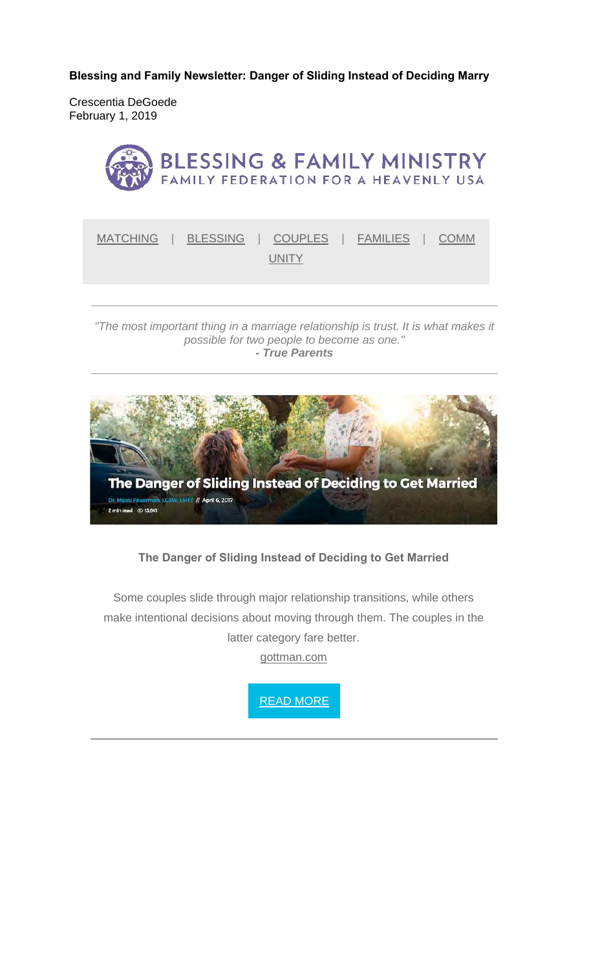**Blessing and Family Newsletter: Danger of Sliding Instead of Deciding Marry** 

Crescentia DeGoede February 1, 2019



#### *"The most important thing in a marriage relationship is trust. It is what makes it possible for two people to become as one." - True Parents*



# **The Danger of Sliding Instead of Deciding to Get Married**

Some couples slide through major relationship transitions, while others make intentional decisions about moving through them. The couples in the latter category fare better.

gottman.com